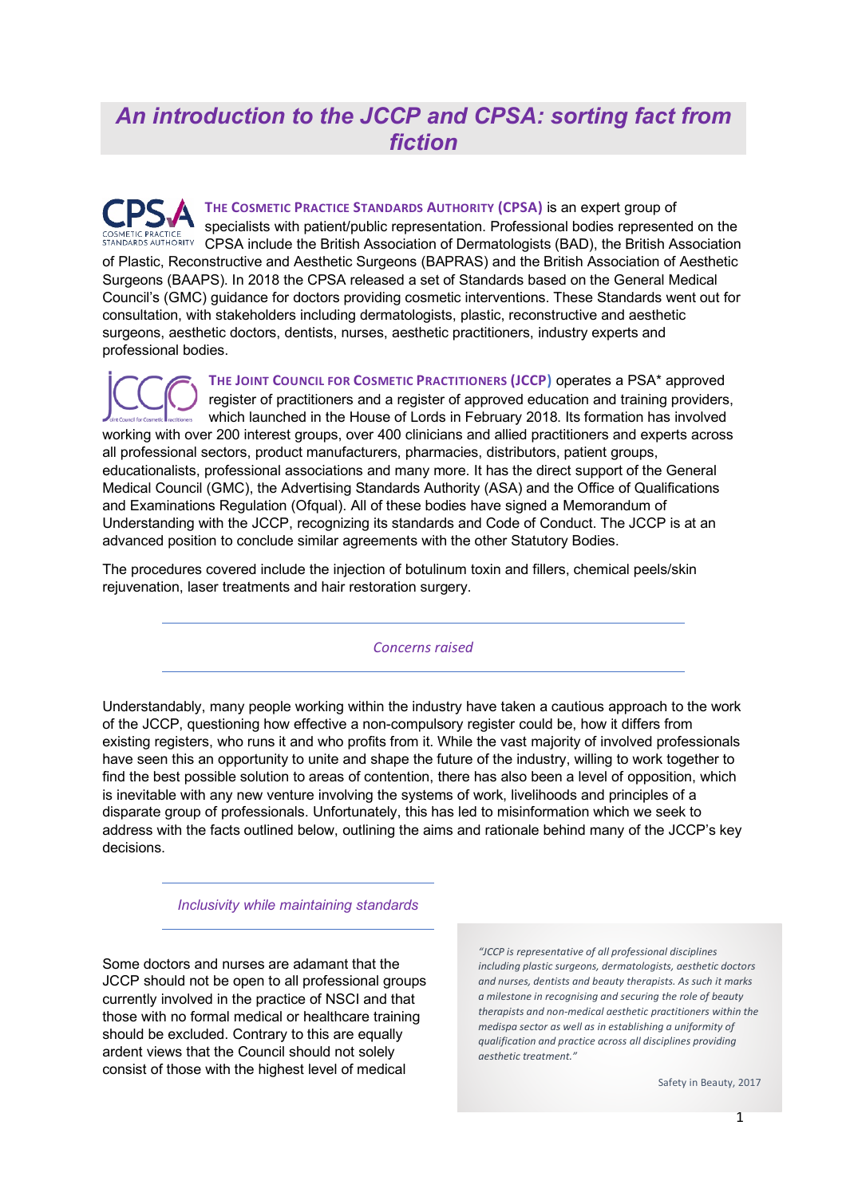## *An introduction to the JCCP and CPSA: sorting fact from fiction*

**THE COSMETIC PRACTICE STANDARDS AUTHORITY (CPSA)** is an expert group of specialists with patient/public representation. Professional bodies represented on the COSMETIC PRACTICE SPECIALISTS WILL PRACTIC PRACTIC TELECTRIC COSMETIC PRACTICE STANDARDS AUTHORITY CPSA include the British Association of Dermatologists (BAD), the British Association of Plastic, Reconstructive and Aesthetic Surgeons (BAPRAS) and the British Association of Aesthetic Surgeons (BAAPS). In 2018 the CPSA released a set of Standards based on the General Medical Council's (GMC) guidance for doctors providing cosmetic interventions. These Standards went out for consultation, with stakeholders including dermatologists, plastic, reconstructive and aesthetic surgeons, aesthetic doctors, dentists, nurses, aesthetic practitioners, industry experts and professional bodies.

**THE JOINT COUNCIL FOR COSMETIC PRACTITIONERS (JCCP)** operates a PSA\* approved register of practitioners and a register of approved education and training providers, which launched in the House of Lords in February 2018. Its formation has involved working with over 200 interest groups, over 400 clinicians and allied practitioners and experts across all professional sectors, product manufacturers, pharmacies, distributors, patient groups, educationalists, professional associations and many more. It has the direct support of the General Medical Council (GMC), the Advertising Standards Authority (ASA) and the Office of Qualifications and Examinations Regulation (Ofqual). All of these bodies have signed a Memorandum of Understanding with the JCCP, recognizing its standards and Code of Conduct. The JCCP is at an advanced position to conclude similar agreements with the other Statutory Bodies.

The procedures covered include the injection of botulinum toxin and fillers, chemical peels/skin rejuvenation, laser treatments and hair restoration surgery.

*Concerns raised*

Understandably, many people working within the industry have taken a cautious approach to the work of the JCCP, questioning how effective a non-compulsory register could be, how it differs from existing registers, who runs it and who profits from it. While the vast majority of involved professionals have seen this an opportunity to unite and shape the future of the industry, willing to work together to find the best possible solution to areas of contention, there has also been a level of opposition, which is inevitable with any new venture involving the systems of work, livelihoods and principles of a disparate group of professionals. Unfortunately, this has led to misinformation which we seek to address with the facts outlined below, outlining the aims and rationale behind many of the JCCP's key decisions.

*Inclusivity while maintaining standards*

Some doctors and nurses are adamant that the JCCP should not be open to all professional groups currently involved in the practice of NSCI and that those with no formal medical or healthcare training should be excluded. Contrary to this are equally ardent views that the Council should not solely consist of those with the highest level of medical

*"JCCP is representative of all professional disciplines including plastic surgeons, dermatologists, aesthetic doctors and nurses, dentists and beauty therapists. As such it marks a milestone in recognising and securing the role of beauty therapists and non-medical aesthetic practitioners within the medispa sector as well as in establishing a uniformity of qualification and practice across all disciplines providing aesthetic treatment."*

Safety in Beauty, 2017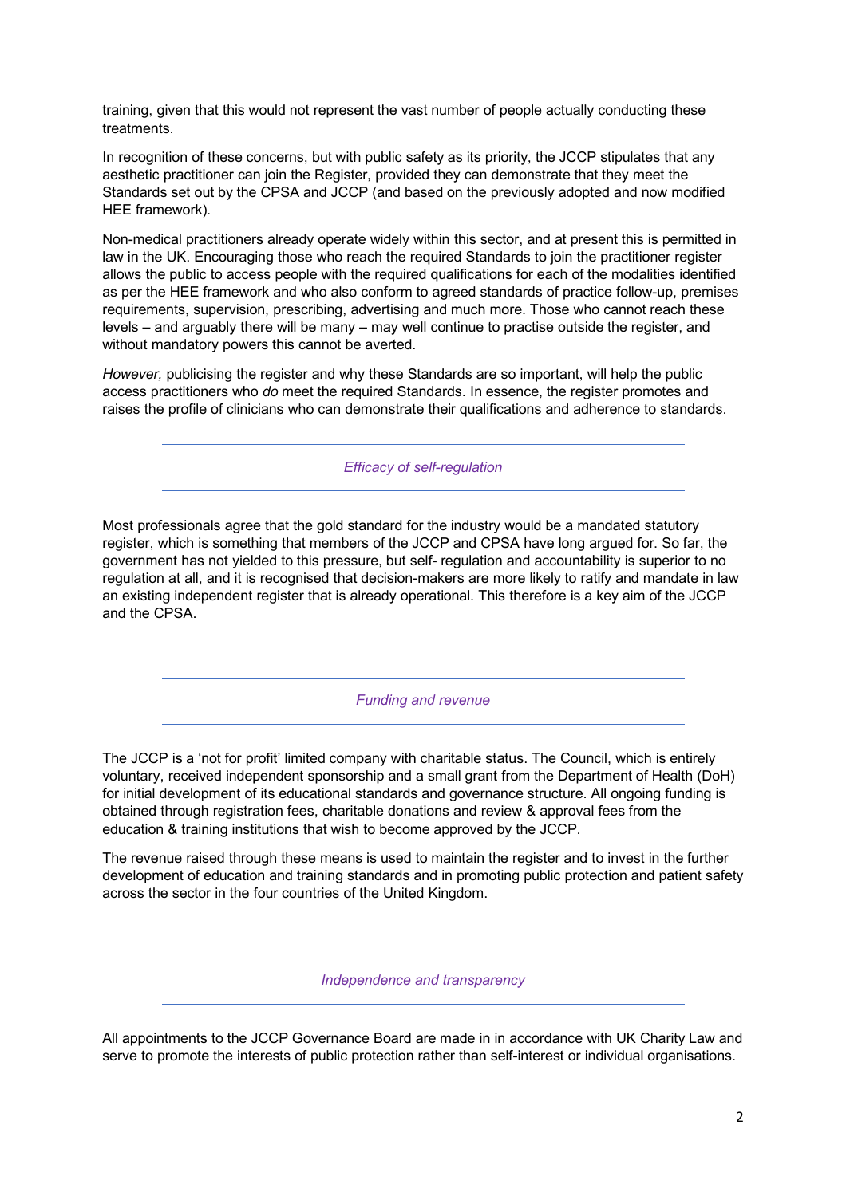training, given that this would not represent the vast number of people actually conducting these treatments.

In recognition of these concerns, but with public safety as its priority, the JCCP stipulates that any aesthetic practitioner can join the Register, provided they can demonstrate that they meet the Standards set out by the CPSA and JCCP (and based on the previously adopted and now modified HEE framework).

Non-medical practitioners already operate widely within this sector, and at present this is permitted in law in the UK. Encouraging those who reach the required Standards to join the practitioner register allows the public to access people with the required qualifications for each of the modalities identified as per the HEE framework and who also conform to agreed standards of practice follow-up, premises requirements, supervision, prescribing, advertising and much more. Those who cannot reach these levels – and arguably there will be many – may well continue to practise outside the register, and without mandatory powers this cannot be averted.

*However,* publicising the register and why these Standards are so important, will help the public access practitioners who *do* meet the required Standards. In essence, the register promotes and raises the profile of clinicians who can demonstrate their qualifications and adherence to standards.

*Efficacy of self-regulation*

Most professionals agree that the gold standard for the industry would be a mandated statutory register, which is something that members of the JCCP and CPSA have long argued for. So far, the government has not yielded to this pressure, but self- regulation and accountability is superior to no regulation at all, and it is recognised that decision-makers are more likely to ratify and mandate in law an existing independent register that is already operational. This therefore is a key aim of the JCCP and the CPSA.

*Funding and revenue*

The JCCP is a 'not for profit' limited company with charitable status. The Council, which is entirely voluntary, received independent sponsorship and a small grant from the Department of Health (DoH) for initial development of its educational standards and governance structure. All ongoing funding is obtained through registration fees, charitable donations and review & approval fees from the education & training institutions that wish to become approved by the JCCP.

The revenue raised through these means is used to maintain the register and to invest in the further development of education and training standards and in promoting public protection and patient safety across the sector in the four countries of the United Kingdom.

*Independence and transparency*

All appointments to the JCCP Governance Board are made in in accordance with UK Charity Law and serve to promote the interests of public protection rather than self-interest or individual organisations.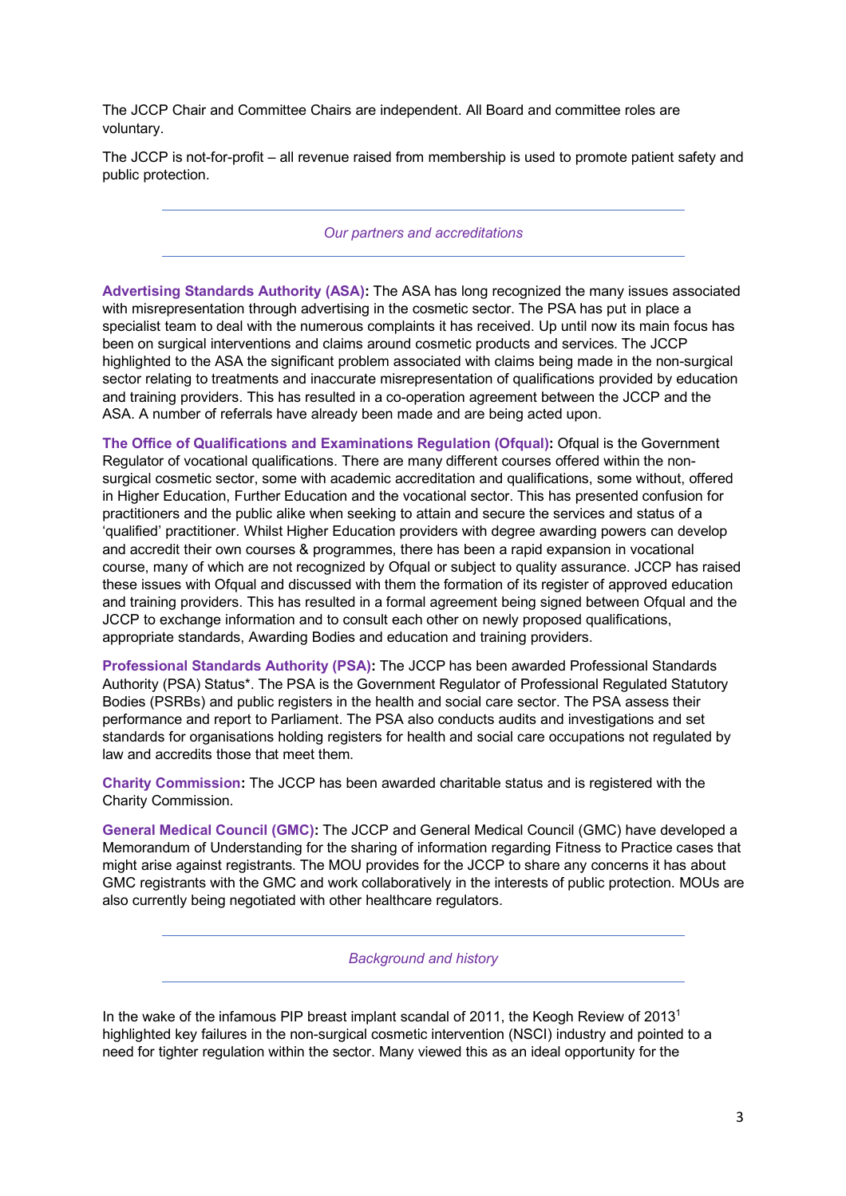The JCCP Chair and Committee Chairs are independent. All Board and committee roles are voluntary.

The JCCP is not-for-profit – all revenue raised from membership is used to promote patient safety and public protection.

## *Our partners and accreditations*

**Advertising Standards Authority (ASA):** The ASA has long recognized the many issues associated with misrepresentation through advertising in the cosmetic sector. The PSA has put in place a specialist team to deal with the numerous complaints it has received. Up until now its main focus has been on surgical interventions and claims around cosmetic products and services. The JCCP highlighted to the ASA the significant problem associated with claims being made in the non-surgical sector relating to treatments and inaccurate misrepresentation of qualifications provided by education and training providers. This has resulted in a co-operation agreement between the JCCP and the ASA. A number of referrals have already been made and are being acted upon.

**The Office of Qualifications and Examinations Regulation (Ofqual):** Ofqual is the Government Regulator of vocational qualifications. There are many different courses offered within the nonsurgical cosmetic sector, some with academic accreditation and qualifications, some without, offered in Higher Education, Further Education and the vocational sector. This has presented confusion for practitioners and the public alike when seeking to attain and secure the services and status of a 'qualified' practitioner. Whilst Higher Education providers with degree awarding powers can develop and accredit their own courses & programmes, there has been a rapid expansion in vocational course, many of which are not recognized by Ofqual or subject to quality assurance. JCCP has raised these issues with Ofqual and discussed with them the formation of its register of approved education and training providers. This has resulted in a formal agreement being signed between Ofqual and the JCCP to exchange information and to consult each other on newly proposed qualifications, appropriate standards, Awarding Bodies and education and training providers.

**Professional Standards Authority (PSA):** The JCCP has been awarded Professional Standards Authority (PSA) Status\*. The PSA is the Government Regulator of Professional Regulated Statutory Bodies (PSRBs) and public registers in the health and social care sector. The PSA assess their performance and report to Parliament. The PSA also conducts audits and investigations and set standards for organisations holding registers for health and social care occupations not regulated by law and accredits those that meet them.

**Charity Commission:** The JCCP has been awarded charitable status and is registered with the Charity Commission.

**General Medical Council (GMC):** The JCCP and General Medical Council (GMC) have developed a Memorandum of Understanding for the sharing of information regarding Fitness to Practice cases that might arise against registrants. The MOU provides for the JCCP to share any concerns it has about GMC registrants with the GMC and work collaboratively in the interests of public protection. MOUs are also currently being negotiated with other healthcare regulators.

*Background and history*

In the wake of the infamous PIP breast implant scandal of 2011, the Keogh Review of 2013<sup>1</sup> highlighted key failures in the non-surgical cosmetic intervention (NSCI) industry and pointed to a need for tighter regulation within the sector. Many viewed this as an ideal opportunity for the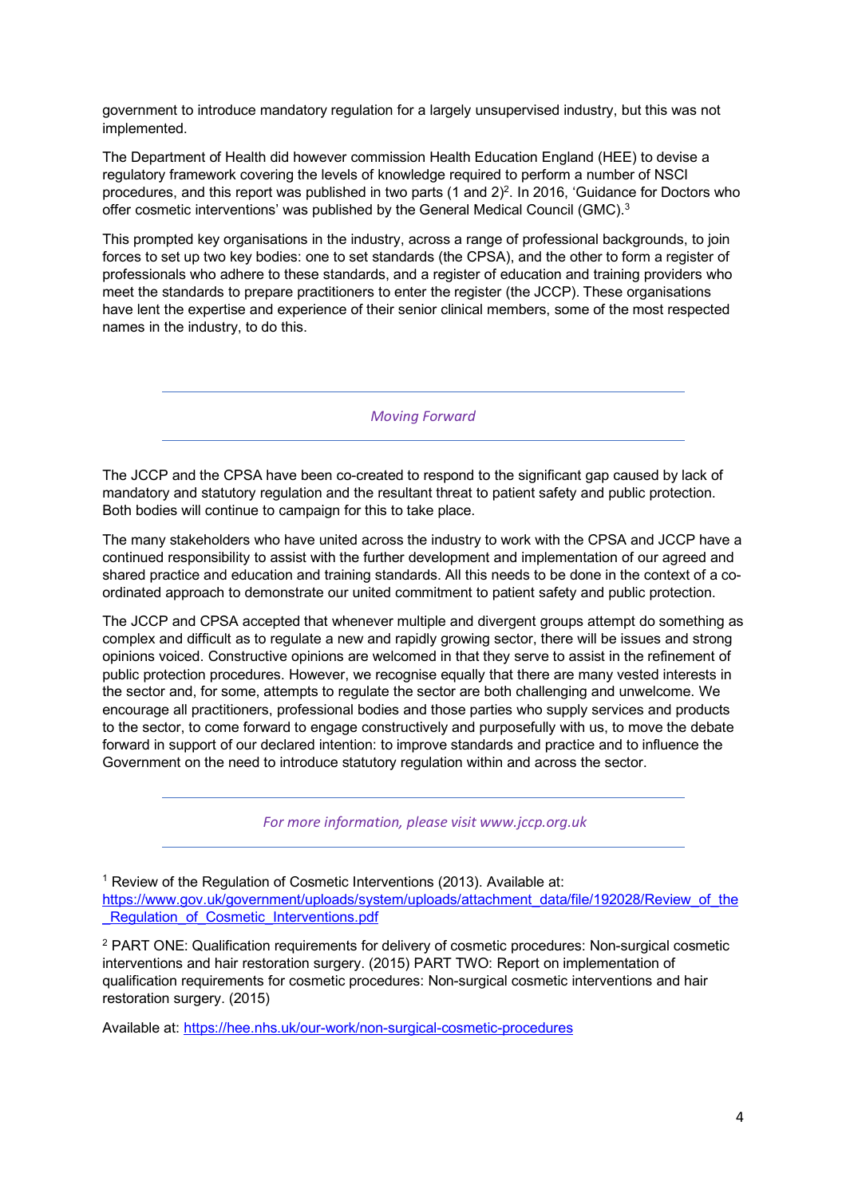government to introduce mandatory regulation for a largely unsupervised industry, but this was not implemented.

The Department of Health did however commission Health Education England (HEE) to devise a regulatory framework covering the levels of knowledge required to perform a number of NSCI procedures, and this report was published in two parts (1 and 2)<sup>2</sup>. In 2016, 'Guidance for Doctors who offer cosmetic interventions' was published by the General Medical Council (GMC).<sup>3</sup>

This prompted key organisations in the industry, across a range of professional backgrounds, to join forces to set up two key bodies: one to set standards (the CPSA), and the other to form a register of professionals who adhere to these standards, and a register of education and training providers who meet the standards to prepare practitioners to enter the register (the JCCP). These organisations have lent the expertise and experience of their senior clinical members, some of the most respected names in the industry, to do this.

*Moving Forward*

The JCCP and the CPSA have been co-created to respond to the significant gap caused by lack of mandatory and statutory regulation and the resultant threat to patient safety and public protection. Both bodies will continue to campaign for this to take place.

The many stakeholders who have united across the industry to work with the CPSA and JCCP have a continued responsibility to assist with the further development and implementation of our agreed and shared practice and education and training standards. All this needs to be done in the context of a coordinated approach to demonstrate our united commitment to patient safety and public protection.

The JCCP and CPSA accepted that whenever multiple and divergent groups attempt do something as complex and difficult as to regulate a new and rapidly growing sector, there will be issues and strong opinions voiced. Constructive opinions are welcomed in that they serve to assist in the refinement of public protection procedures. However, we recognise equally that there are many vested interests in the sector and, for some, attempts to regulate the sector are both challenging and unwelcome. We encourage all practitioners, professional bodies and those parties who supply services and products to the sector, to come forward to engage constructively and purposefully with us, to move the debate forward in support of our declared intention: to improve standards and practice and to influence the Government on the need to introduce statutory regulation within and across the sector.

*For more information, please visit www.jccp.org.uk*

<sup>1</sup> Review of the Regulation of Cosmetic Interventions (2013). Available at: https://www.gov.uk/government/uploads/system/uploads/attachment\_data/file/192028/Review\_of\_the Regulation of Cosmetic Interventions.pdf

<sup>2</sup> PART ONE: Qualification requirements for delivery of cosmetic procedures: Non-surgical cosmetic interventions and hair restoration surgery. (2015) PART TWO: Report on implementation of qualification requirements for cosmetic procedures: Non-surgical cosmetic interventions and hair restoration surgery. (2015)

Available at: https://hee.nhs.uk/our-work/non-surgical-cosmetic-procedures